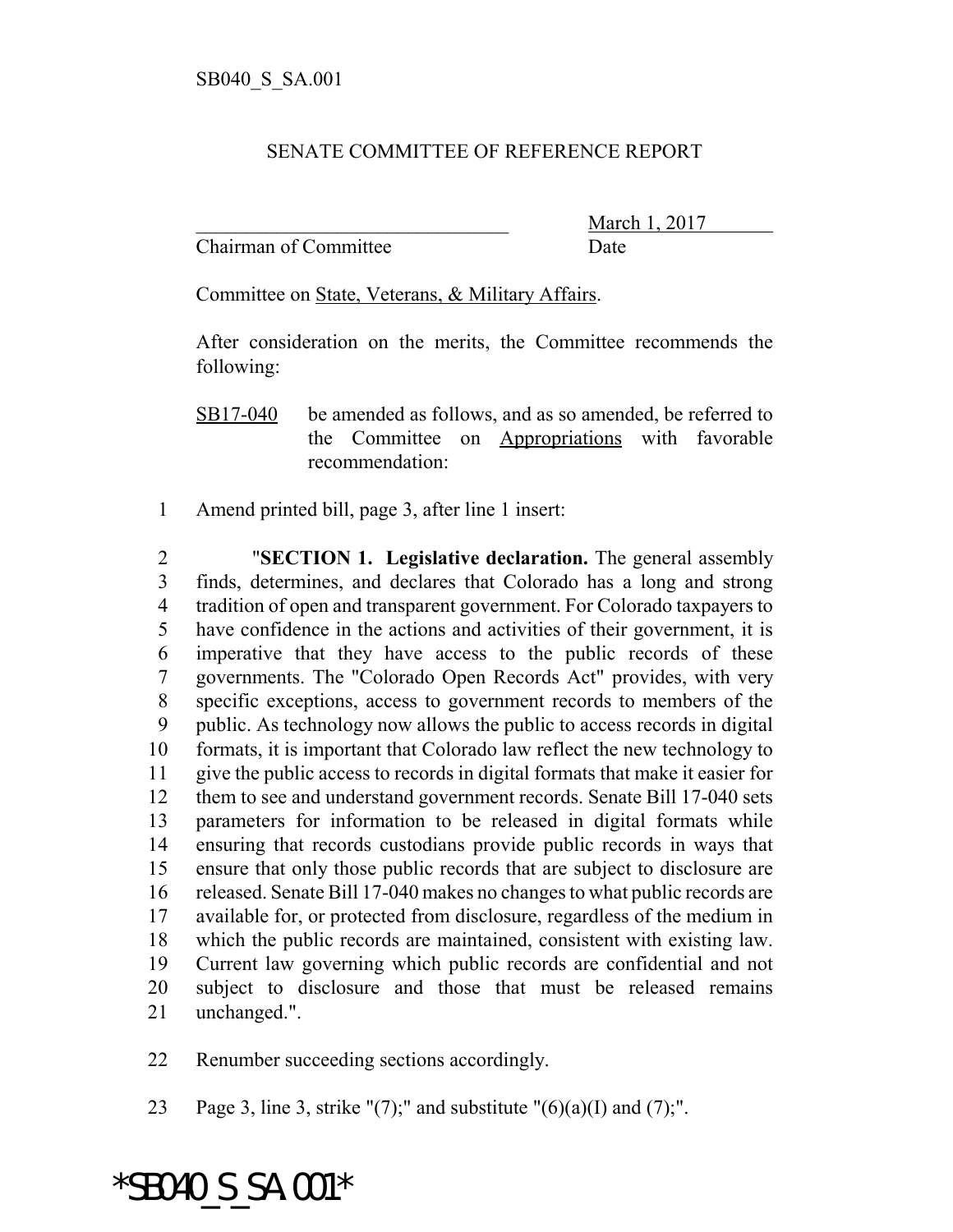## SENATE COMMITTEE OF REFERENCE REPORT

Chairman of Committee Date

March 1, 2017

Committee on State, Veterans, & Military Affairs.

After consideration on the merits, the Committee recommends the following:

Amend printed bill, page 3, after line 1 insert:

 "**SECTION 1. Legislative declaration.** The general assembly finds, determines, and declares that Colorado has a long and strong tradition of open and transparent government. For Colorado taxpayers to have confidence in the actions and activities of their government, it is imperative that they have access to the public records of these governments. The "Colorado Open Records Act" provides, with very specific exceptions, access to government records to members of the public. As technology now allows the public to access records in digital formats, it is important that Colorado law reflect the new technology to give the public access to records in digital formats that make it easier for them to see and understand government records. Senate Bill 17-040 sets parameters for information to be released in digital formats while ensuring that records custodians provide public records in ways that ensure that only those public records that are subject to disclosure are released. Senate Bill 17-040 makes no changes to what public records are available for, or protected from disclosure, regardless of the medium in which the public records are maintained, consistent with existing law. Current law governing which public records are confidential and not subject to disclosure and those that must be released remains unchanged.".

Renumber succeeding sections accordingly.

23 Page 3, line 3, strike "(7);" and substitute " $(6)(a)(I)$  and  $(7)$ ;".

## \*SB040\_S\_SA.001\*

SB17-040 be amended as follows, and as so amended, be referred to the Committee on Appropriations with favorable recommendation: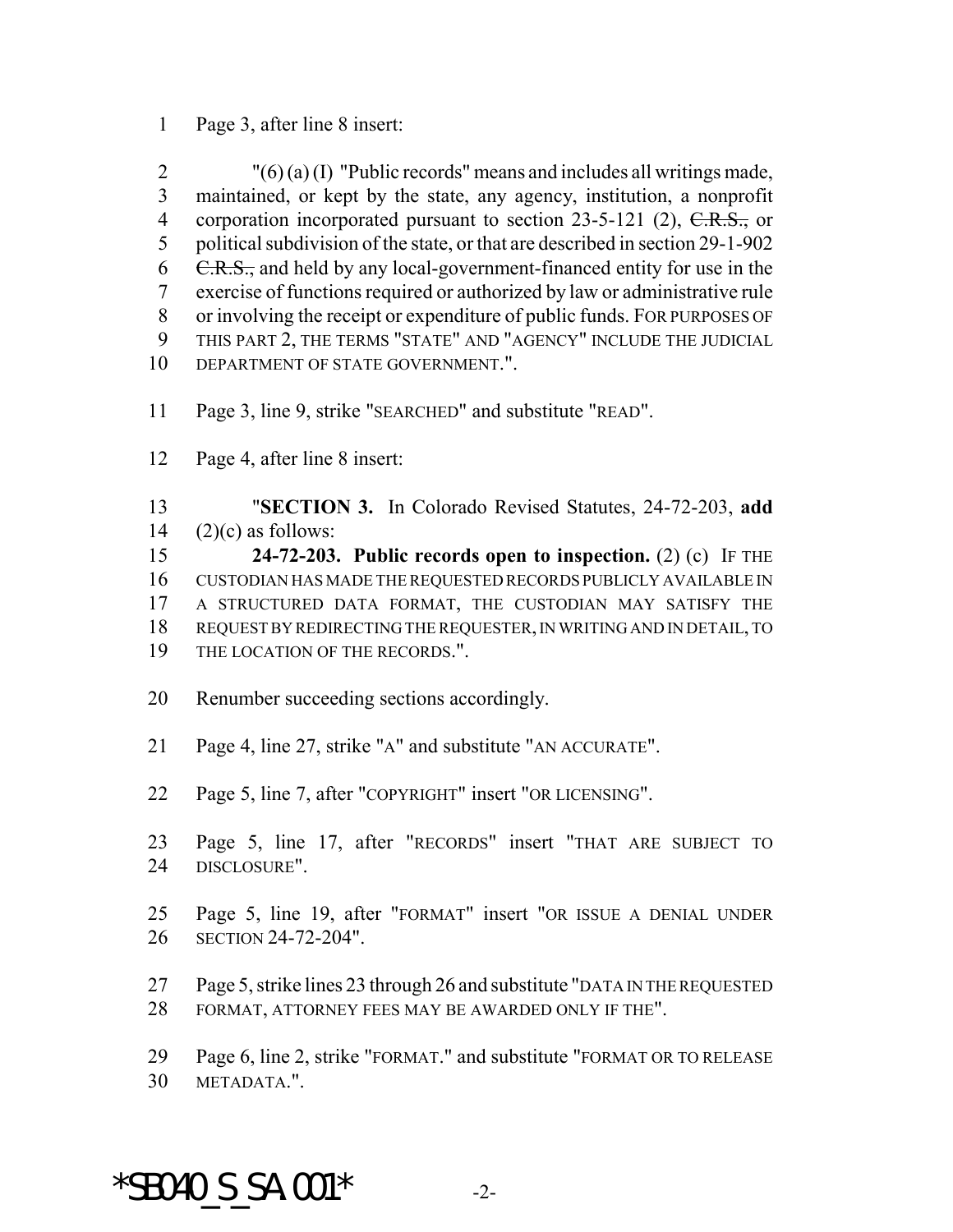Page 3, after line 8 insert:

2 " $(6)(a)(I)$  "Public records" means and includes all writings made, maintained, or kept by the state, any agency, institution, a nonprofit 4 corporation incorporated pursuant to section 23-5-121 (2), C.R.S., or political subdivision of the state, or that are described in section 29-1-902  $\text{C.R.S.}$ , and held by any local-government-financed entity for use in the exercise of functions required or authorized by law or administrative rule or involving the receipt or expenditure of public funds. FOR PURPOSES OF THIS PART 2, THE TERMS "STATE" AND "AGENCY" INCLUDE THE JUDICIAL 10 DEPARTMENT OF STATE GOVERNMENT.".

Page 3, line 9, strike "SEARCHED" and substitute "READ".

Page 4, after line 8 insert:

 "**SECTION 3.** In Colorado Revised Statutes, 24-72-203, **add** 14  $(2)(c)$  as follows:

 **24-72-203. Public records open to inspection.** (2) (c) IF THE CUSTODIAN HAS MADE THE REQUESTED RECORDS PUBLICLY AVAILABLE IN A STRUCTURED DATA FORMAT, THE CUSTODIAN MAY SATISFY THE REQUEST BY REDIRECTING THE REQUESTER, IN WRITING AND IN DETAIL, TO THE LOCATION OF THE RECORDS.".

- Renumber succeeding sections accordingly.
- Page 4, line 27, strike "A" and substitute "AN ACCURATE".
- Page 5, line 7, after "COPYRIGHT" insert "OR LICENSING".
- Page 5, line 17, after "RECORDS" insert "THAT ARE SUBJECT TO DISCLOSURE".
- Page 5, line 19, after "FORMAT" insert "OR ISSUE A DENIAL UNDER SECTION 24-72-204".
- Page 5, strike lines 23 through 26 and substitute "DATA IN THE REQUESTED FORMAT, ATTORNEY FEES MAY BE AWARDED ONLY IF THE".
- Page 6, line 2, strike "FORMAT." and substitute "FORMAT OR TO RELEASE METADATA.".

## $*$ SB040 S SA.001 $*$  -2-